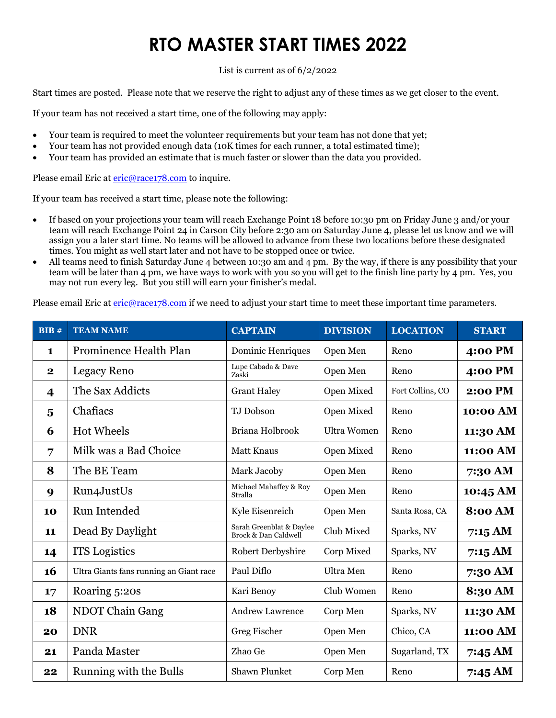List is current as of 6/2/2022

Start times are posted. Please note that we reserve the right to adjust any of these times as we get closer to the event.

If your team has not received a start time, one of the following may apply:

- Your team is required to meet the volunteer requirements but your team has not done that yet;
- Your team has not provided enough data (10K times for each runner, a total estimated time);
- Your team has provided an estimate that is much faster or slower than the data you provided.

Please email Eric at eric@race178.com to inquire.

If your team has received a start time, please note the following:

- If based on your projections your team will reach Exchange Point 18 before 10:30 pm on Friday June 3 and/or your team will reach Exchange Point 24 in Carson City before 2:30 am on Saturday June 4, please let us know and we will assign you a later start time. No teams will be allowed to advance from these two locations before these designated times. You might as well start later and not have to be stopped once or twice.
- All teams need to finish Saturday June 4 between 10:30 am and 4 pm. By the way, if there is any possibility that your team will be later than 4 pm, we have ways to work with you so you will get to the finish line party by 4 pm. Yes, you may not run every leg. But you still will earn your finisher's medal.

Please email Eric at eric@race178.com if we need to adjust your start time to meet these important time parameters.

| BIB#        | <b>TEAM NAME</b>                        | <b>CAPTAIN</b>                                   | <b>DIVISION</b>    | <b>LOCATION</b>  | <b>START</b>   |
|-------------|-----------------------------------------|--------------------------------------------------|--------------------|------------------|----------------|
| $\mathbf 1$ | <b>Prominence Health Plan</b>           | Dominic Henriques                                | Open Men           | Reno             | 4:00 PM        |
| $\mathbf 2$ | Legacy Reno                             | Lupe Cabada & Dave<br>Zaski                      | Open Men           | Reno             | 4:00 PM        |
| 4           | The Sax Addicts                         | <b>Grant Haley</b>                               | Open Mixed         | Fort Collins, CO | <b>2:00 PM</b> |
| 5           | Chafiacs                                | TJ Dobson                                        | Open Mixed         | Reno             | 10:00 AM       |
| 6           | <b>Hot Wheels</b>                       | Briana Holbrook                                  | <b>Ultra Women</b> | Reno             | 11:30 AM       |
| 7           | Milk was a Bad Choice                   | <b>Matt Knaus</b>                                | Open Mixed         | Reno             | 11:00 AM       |
| 8           | The BE Team                             | Mark Jacoby                                      | Open Men           | Reno             | 7:30 AM        |
| 9           | Run4JustUs                              | Michael Mahaffey & Roy<br>Stralla                | Open Men           | Reno             | 10:45 AM       |
| 10          | Run Intended                            | Kyle Eisenreich                                  | Open Men           | Santa Rosa, CA   | <b>8:00 AM</b> |
| 11          | Dead By Daylight                        | Sarah Greenblat & Daylee<br>Brock & Dan Caldwell | Club Mixed         | Sparks, NV       | 7:15 AM        |
| 14          | <b>ITS</b> Logistics                    | Robert Derbyshire                                | Corp Mixed         | Sparks, NV       | 7:15 AM        |
| 16          | Ultra Giants fans running an Giant race | Paul Diflo                                       | Ultra Men          | Reno             | 7:30 AM        |
| 17          | Roaring 5:20s                           | Kari Benoy                                       | Club Women         | Reno             | 8:30 AM        |
| 18          | NDOT Chain Gang                         | <b>Andrew Lawrence</b>                           | Corp Men           | Sparks, NV       | 11:30 AM       |
| 20          | <b>DNR</b>                              | Greg Fischer                                     | Open Men           | Chico, CA        | 11:00 AM       |
| 21          | Panda Master                            | Zhao Ge                                          | Open Men           | Sugarland, TX    | 7:45 AM        |
| 22          | Running with the Bulls                  | Shawn Plunket                                    | Corp Men           | Reno             | 7:45 AM        |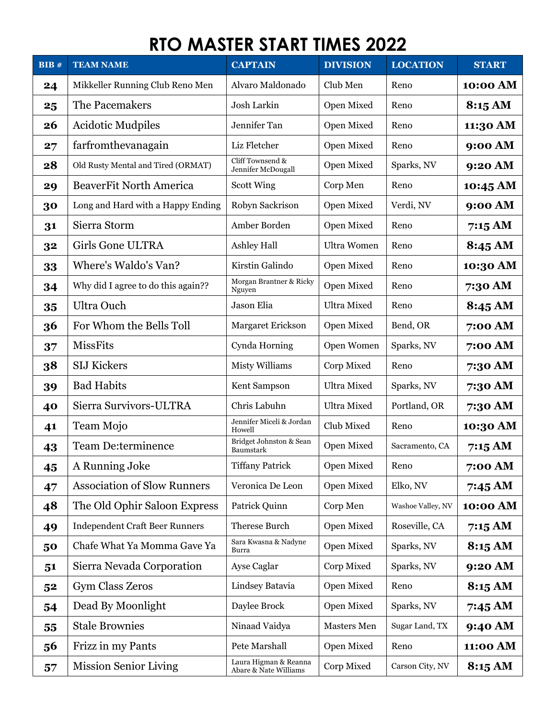| BIB# | <b>TEAM NAME</b>                      | <b>CAPTAIN</b>                                 | <b>DIVISION</b>    | <b>LOCATION</b>   | <b>START</b> |
|------|---------------------------------------|------------------------------------------------|--------------------|-------------------|--------------|
| 24   | Mikkeller Running Club Reno Men       | Alvaro Maldonado                               | Club Men           | Reno              | 10:00 AM     |
| 25   | The Pacemakers                        | Josh Larkin                                    | Open Mixed         | Reno              | 8:15 AM      |
| 26   | <b>Acidotic Mudpiles</b>              | Jennifer Tan                                   | Open Mixed         | Reno              | 11:30 AM     |
| 27   | farfromthevanagain                    | Liz Fletcher                                   | Open Mixed         | Reno              | 9:00 AM      |
| 28   | Old Rusty Mental and Tired (ORMAT)    | Cliff Townsend &<br>Jennifer McDougall         | Open Mixed         | Sparks, NV        | 9:20 AM      |
| 29   | <b>BeaverFit North America</b>        | <b>Scott Wing</b>                              | Corp Men           | Reno              | 10:45 AM     |
| 30   | Long and Hard with a Happy Ending     | Robyn Sackrison                                | Open Mixed         | Verdi, NV         | 9:00 AM      |
| 31   | Sierra Storm                          | Amber Borden                                   | Open Mixed         | Reno              | 7:15AM       |
| 32   | Girls Gone ULTRA                      | <b>Ashley Hall</b>                             | <b>Ultra Women</b> | Reno              | 8:45 AM      |
| 33   | Where's Waldo's Van?                  | Kirstin Galindo                                | Open Mixed         | Reno              | 10:30 AM     |
| 34   | Why did I agree to do this again??    | Morgan Brantner & Ricky<br>Nguyen              | Open Mixed         | Reno              | 7:30 AM      |
| 35   | Ultra Ouch                            | Jason Elia                                     | <b>Ultra Mixed</b> | Reno              | 8:45 AM      |
| 36   | For Whom the Bells Toll               | Margaret Erickson                              | Open Mixed         | Bend, OR          | 7:00 AM      |
| 37   | <b>MissFits</b>                       | Cynda Horning                                  | Open Women         | Sparks, NV        | 7:00 AM      |
| 38   | <b>SIJ Kickers</b>                    | <b>Misty Williams</b>                          | Corp Mixed         | Reno              | 7:30 AM      |
| 39   | <b>Bad Habits</b>                     | Kent Sampson                                   | <b>Ultra Mixed</b> | Sparks, NV        | 7:30 AM      |
| 40   | Sierra Survivors-ULTRA                | Chris Labuhn                                   | <b>Ultra Mixed</b> | Portland, OR      | 7:30 AM      |
| 41   | Team Mojo                             | Jennifer Miceli & Jordan<br>Howell             | Club Mixed         | Reno              | 10:30 AM     |
| 43   | <b>Team De:terminence</b>             | Bridget Johnston & Sean<br>Baumstark           | Open Mixed         | Sacramento, CA    | 7:15 AM      |
| 45   | A Running Joke                        | <b>Tiffany Patrick</b>                         | Open Mixed         | Reno              | 7:00 AM      |
| 47   | <b>Association of Slow Runners</b>    | Veronica De Leon                               | Open Mixed         | Elko, NV          | 7:45 AM      |
| 48   | The Old Ophir Saloon Express          | Patrick Quinn                                  | Corp Men           | Washoe Valley, NV | 10:00 AM     |
| 49   | <b>Independent Craft Beer Runners</b> | Therese Burch                                  | Open Mixed         | Roseville, CA     | 7:15AM       |
| 50   | Chafe What Ya Momma Gave Ya           | Sara Kwasna & Nadyne<br>Burra                  | Open Mixed         | Sparks, NV        | 8:15 AM      |
| 51   | Sierra Nevada Corporation             | Ayse Caglar                                    | Corp Mixed         | Sparks, NV        | 9:20 AM      |
| 52   | Gym Class Zeros                       | Lindsey Batavia                                | Open Mixed         | Reno              | 8:15 AM      |
| 54   | Dead By Moonlight                     | Daylee Brock                                   | Open Mixed         | Sparks, NV        | 7:45 AM      |
| 55   | <b>Stale Brownies</b>                 | Ninaad Vaidya                                  | Masters Men        | Sugar Land, TX    | 9:40 AM      |
| 56   | Frizz in my Pants                     | Pete Marshall                                  | Open Mixed         | Reno              | 11:00 AM     |
| 57   | <b>Mission Senior Living</b>          | Laura Higman & Reanna<br>Abare & Nate Williams | Corp Mixed         | Carson City, NV   | 8:15 AM      |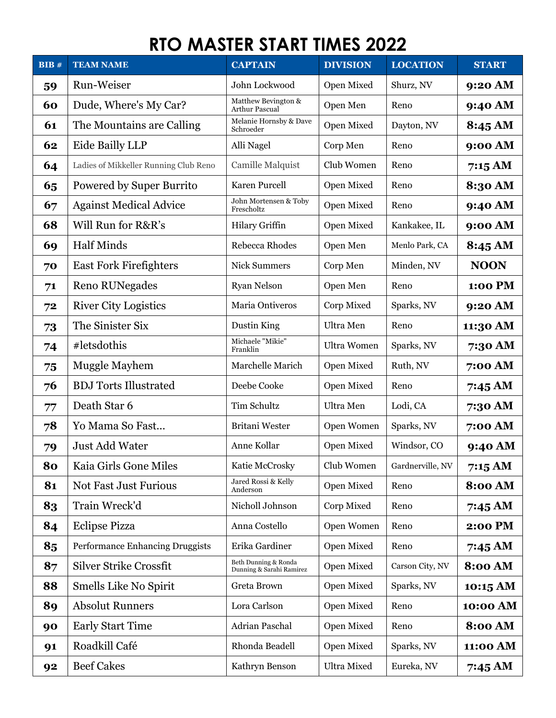| BIB# | <b>TEAM NAME</b>                      | <b>CAPTAIN</b>                                   | <b>DIVISION</b>    | <b>LOCATION</b>  | <b>START</b>   |
|------|---------------------------------------|--------------------------------------------------|--------------------|------------------|----------------|
| 59   | Run-Weiser                            | John Lockwood                                    | Open Mixed         | Shurz, NV        | 9:20 AM        |
| 60   | Dude, Where's My Car?                 | Matthew Bevington &<br><b>Arthur Pascual</b>     | Open Men           | Reno             | 9:40 AM        |
| 61   | The Mountains are Calling             | Melanie Hornsby & Dave<br>Schroeder              | Open Mixed         | Dayton, NV       | 8:45 AM        |
| 62   | Eide Bailly LLP                       | Alli Nagel                                       | Corp Men           | Reno             | 9:00 AM        |
| 64   | Ladies of Mikkeller Running Club Reno | Camille Malquist                                 | Club Women         | Reno             | 7:15 AM        |
| 65   | <b>Powered by Super Burrito</b>       | Karen Purcell                                    | Open Mixed         | Reno             | 8:30 AM        |
| 67   | <b>Against Medical Advice</b>         | John Mortensen & Toby<br>Frescholtz              | Open Mixed         | Reno             | 9:40 AM        |
| 68   | Will Run for R&R's                    | Hilary Griffin                                   | Open Mixed         | Kankakee, IL     | 9:00 AM        |
| 69   | <b>Half Minds</b>                     | Rebecca Rhodes                                   | Open Men           | Menlo Park, CA   | 8:45 AM        |
| 70   | <b>East Fork Firefighters</b>         | <b>Nick Summers</b>                              | Corp Men           | Minden, NV       | <b>NOON</b>    |
| 71   | <b>Reno RUNegades</b>                 | <b>Ryan Nelson</b>                               | Open Men           | Reno             | 1:00 PM        |
| 72   | <b>River City Logistics</b>           | Maria Ontiveros                                  | Corp Mixed         | Sparks, NV       | 9:20 AM        |
| 73   | The Sinister Six                      | Dustin King                                      | Ultra Men          | Reno             | 11:30 AM       |
| 74   | #letsdothis                           | Michaele "Mikie"<br>Franklin                     | <b>Ultra Women</b> | Sparks, NV       | 7:30 AM        |
| 75   | Muggle Mayhem                         | Marchelle Marich                                 | Open Mixed         | Ruth, NV         | 7:00 AM        |
| 76   | <b>BDJ</b> Torts Illustrated          | Deebe Cooke                                      | Open Mixed         | Reno             | 7:45 AM        |
| 77   | Death Star 6                          | <b>Tim Schultz</b>                               | Ultra Men          | Lodi, CA         | 7:30 AM        |
| 78   | Yo Mama So Fast                       | Britani Wester                                   | Open Women         | Sparks, NV       | 7:00 AM        |
| 79   | <b>Just Add Water</b>                 | Anne Kollar                                      | Open Mixed         | Windsor, CO      | 9:40 AM        |
| 80   | Kaia Girls Gone Miles                 | Katie McCrosky                                   | Club Women         | Gardnerville, NV | 7:15AM         |
| 81   | Not Fast Just Furious                 | Jared Rossi & Kelly<br>Anderson                  | Open Mixed         | Reno             | <b>8:00 AM</b> |
| 83   | Train Wreck'd                         | Nicholl Johnson                                  | Corp Mixed         | Reno             | 7:45 AM        |
| 84   | <b>Eclipse Pizza</b>                  | Anna Costello                                    | Open Women         | Reno             | 2:00 PM        |
| 85   | Performance Enhancing Druggists       | Erika Gardiner                                   | Open Mixed         | Reno             | 7:45 AM        |
| 87   | <b>Silver Strike Crossfit</b>         | Beth Dunning & Ronda<br>Dunning & Sarahi Ramirez | Open Mixed         | Carson City, NV  | <b>8:00 AM</b> |
| 88   | Smells Like No Spirit                 | Greta Brown                                      | Open Mixed         | Sparks, NV       | 10:15 AM       |
| 89   | <b>Absolut Runners</b>                | Lora Carlson                                     | Open Mixed         | Reno             | 10:00 AM       |
| 90   | <b>Early Start Time</b>               | Adrian Paschal                                   | Open Mixed         | Reno             | <b>8:00 AM</b> |
| 91   | Roadkill Café                         | Rhonda Beadell                                   | Open Mixed         | Sparks, NV       | 11:00 AM       |
| 92   | <b>Beef Cakes</b>                     | Kathryn Benson                                   | <b>Ultra Mixed</b> | Eureka, NV       | 7:45 AM        |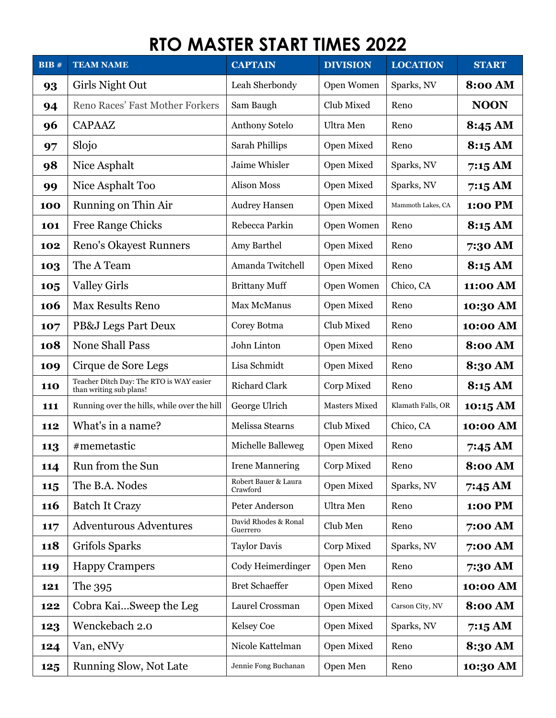| BIB#       | <b>TEAM NAME</b>                                                    | <b>CAPTAIN</b>                   | <b>DIVISION</b>      | <b>LOCATION</b>   | <b>START</b>       |
|------------|---------------------------------------------------------------------|----------------------------------|----------------------|-------------------|--------------------|
| 93         | Girls Night Out                                                     | Leah Sherbondy                   | Open Women           | Sparks, NV        | <b>8:00 AM</b>     |
| 94         | Reno Races' Fast Mother Forkers                                     | Sam Baugh                        | Club Mixed           | Reno              | <b>NOON</b>        |
| 96         | <b>CAPAAZ</b>                                                       | Anthony Sotelo                   | Ultra Men            | Reno              | 8:45 AM            |
| 97         | Slojo                                                               | Sarah Phillips                   | Open Mixed           | Reno              | 8:15 AM            |
| 98         | Nice Asphalt                                                        | Jaime Whisler                    | Open Mixed           | Sparks, NV        | 7:15 AM            |
| 99         | Nice Asphalt Too                                                    | <b>Alison Moss</b>               | Open Mixed           | Sparks, NV        | 7:15 AM            |
| 100        | Running on Thin Air                                                 | <b>Audrey Hansen</b>             | Open Mixed           | Mammoth Lakes, CA | 1:00 PM            |
| 101        | <b>Free Range Chicks</b>                                            | Rebecca Parkin                   | Open Women           | Reno              | 8:15 AM            |
| 102        | <b>Reno's Okayest Runners</b>                                       | Amy Barthel                      | Open Mixed           | Reno              | 7:30 AM            |
| 103        | The A Team                                                          | Amanda Twitchell                 | Open Mixed           | Reno              | 8:15 AM            |
| 105        | <b>Valley Girls</b>                                                 | <b>Brittany Muff</b>             | Open Women           | Chico, CA         | 11:00 AM           |
| 106        | <b>Max Results Reno</b>                                             | <b>Max McManus</b>               | Open Mixed           | Reno              | 10:30 AM           |
| 107        | PB&J Legs Part Deux                                                 | Corey Botma                      | Club Mixed           | Reno              | 10:00 AM           |
| 108        | <b>None Shall Pass</b>                                              | John Linton                      | Open Mixed           | Reno              | <b>8:00 AM</b>     |
| 109        | Cirque de Sore Legs                                                 | Lisa Schmidt                     | Open Mixed           | Reno              | 8:30 AM            |
| <b>110</b> | Teacher Ditch Day: The RTO is WAY easier<br>than writing sub plans! | <b>Richard Clark</b>             | Corp Mixed           | Reno              | 8:15 AM            |
| 111        | Running over the hills, while over the hill                         | George Ulrich                    | <b>Masters Mixed</b> | Klamath Falls, OR | $10:15 \text{ AM}$ |
| 112        | What's in a name?                                                   | Melissa Stearns                  | Club Mixed           | Chico, CA         | 10:00 AM           |
| 113        | #memetastic                                                         | Michelle Balleweg                | Open Mixed           | Reno              | 7:45 AM            |
| 114        | Run from the Sun                                                    | <b>Irene Mannering</b>           | Corp Mixed           | Reno              | 8:00 AM            |
| 115        | The B.A. Nodes                                                      | Robert Bauer & Laura<br>Crawford | Open Mixed           | Sparks, NV        | 7:45 AM            |
| <b>116</b> | <b>Batch It Crazy</b>                                               | Peter Anderson                   | Ultra Men            | Reno              | 1:00 PM            |
| 117        | <b>Adventurous Adventures</b>                                       | David Rhodes & Ronal<br>Guerrero | Club Men             | Reno              | 7:00 AM            |
| <b>118</b> | Grifols Sparks                                                      | <b>Taylor Davis</b>              | Corp Mixed           | Sparks, NV        | 7:00 AM            |
| 119        | <b>Happy Crampers</b>                                               | Cody Heimerdinger                | Open Men             | Reno              | 7:30 AM            |
| 121        | The 395                                                             | <b>Bret Schaeffer</b>            | Open Mixed           | Reno              | 10:00 AM           |
| 122        | Cobra KaiSweep the Leg                                              | Laurel Crossman                  | Open Mixed           | Carson City, NV   | <b>8:00 AM</b>     |
| 123        | Wenckebach 2.0                                                      | <b>Kelsey Coe</b>                | Open Mixed           | Sparks, NV        | 7:15AM             |
| 124        | Van, eNVy                                                           | Nicole Kattelman                 | Open Mixed           | Reno              | 8:30 AM            |
| 125        | Running Slow, Not Late                                              | Jennie Fong Buchanan             | Open Men             | Reno              | 10:30 AM           |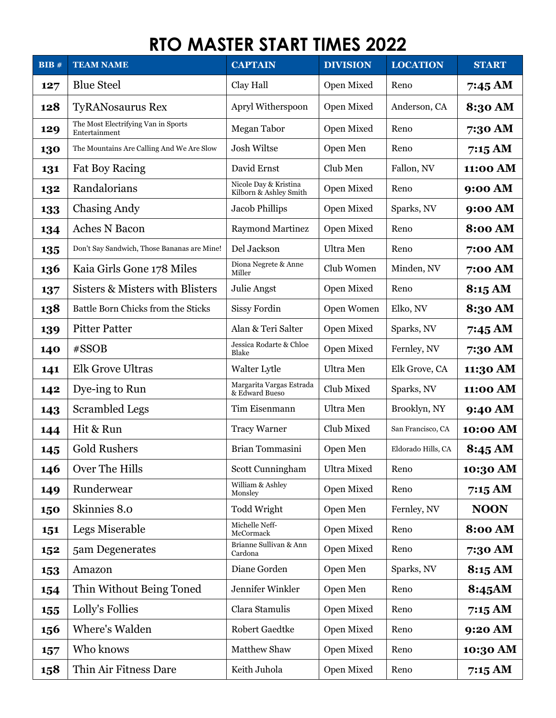| BIB# | <b>TEAM NAME</b>                                     | <b>CAPTAIN</b>                                  | <b>DIVISION</b>    | <b>LOCATION</b>    | <b>START</b>      |
|------|------------------------------------------------------|-------------------------------------------------|--------------------|--------------------|-------------------|
| 127  | <b>Blue Steel</b>                                    | Clay Hall                                       | Open Mixed         | Reno               | $7:45 \text{ AM}$ |
| 128  | <b>TyRANosaurus Rex</b>                              | Apryl Witherspoon                               | Open Mixed         | Anderson, CA       | 8:30 AM           |
| 129  | The Most Electrifying Van in Sports<br>Entertainment | <b>Megan Tabor</b>                              | Open Mixed         | Reno               | 7:30 AM           |
| 130  | The Mountains Are Calling And We Are Slow            | Josh Wiltse                                     | Open Men           | Reno               | 7:15 AM           |
| 131  | <b>Fat Boy Racing</b>                                | David Ernst                                     | Club Men           | Fallon, NV         | 11:00 AM          |
| 132  | Randalorians                                         | Nicole Day & Kristina<br>Kilborn & Ashley Smith | Open Mixed         | Reno               | 9:00 AM           |
| 133  | <b>Chasing Andy</b>                                  | <b>Jacob Phillips</b>                           | Open Mixed         | Sparks, NV         | 9:00 AM           |
| 134  | <b>Aches N Bacon</b>                                 | <b>Raymond Martinez</b>                         | Open Mixed         | Reno               | <b>8:00 AM</b>    |
| 135  | Don't Say Sandwich, Those Bananas are Mine!          | Del Jackson                                     | Ultra Men          | Reno               | 7:00 AM           |
| 136  | Kaia Girls Gone 178 Miles                            | Diona Negrete & Anne<br>Miller                  | Club Women         | Minden, NV         | 7:00 AM           |
| 137  | Sisters & Misters with Blisters                      | Julie Angst                                     | Open Mixed         | Reno               | 8:15 AM           |
| 138  | Battle Born Chicks from the Sticks                   | <b>Sissy Fordin</b>                             | Open Women         | Elko, NV           | 8:30 AM           |
| 139  | <b>Pitter Patter</b>                                 | Alan & Teri Salter                              | Open Mixed         | Sparks, NV         | 7:45 AM           |
| 140  | #SSOB                                                | Jessica Rodarte & Chloe<br>Blake                | Open Mixed         | Fernley, NV        | 7:30 AM           |
| 141  | <b>Elk Grove Ultras</b>                              | Walter Lytle                                    | Ultra Men          | Elk Grove, CA      | 11:30 AM          |
| 142  | Dye-ing to Run                                       | Margarita Vargas Estrada<br>& Edward Bueso      | Club Mixed         | Sparks, NV         | 11:00 AM          |
| 143  | <b>Scrambled Legs</b>                                | Tim Eisenmann                                   | Ultra Men          | Brooklyn, NY       | 9:40 AM           |
| 144  | Hit & Run                                            | <b>Tracy Warner</b>                             | Club Mixed         | San Francisco, CA  | 10:00 AM          |
| 145  | <b>Gold Rushers</b>                                  | Brian Tommasini                                 | Open Men           | Eldorado Hills, CA | $8:45 \text{ AM}$ |
| 146  | Over The Hills                                       | Scott Cunningham                                | <b>Ultra Mixed</b> | Reno               | 10:30 AM          |
| 149  | Runderwear                                           | William & Ashley<br>Monsley                     | Open Mixed         | Reno               | 7:15 AM           |
| 150  | Skinnies 8.0                                         | Todd Wright                                     | Open Men           | Fernley, NV        | <b>NOON</b>       |
| 151  | Legs Miserable                                       | Michelle Neff-<br>McCormack                     | Open Mixed         | Reno               | 8:00 AM           |
| 152  | 5am Degenerates                                      | Brianne Sullivan & Ann<br>Cardona               | Open Mixed         | Reno               | 7:30 AM           |
| 153  | Amazon                                               | Diane Gorden                                    | Open Men           | Sparks, NV         | 8:15 AM           |
| 154  | Thin Without Being Toned                             | Jennifer Winkler                                | Open Men           | Reno               | 8:45AM            |
| 155  | Lolly's Follies                                      | Clara Stamulis                                  | Open Mixed         | Reno               | 7:15 AM           |
| 156  | Where's Walden                                       | <b>Robert Gaedtke</b>                           | Open Mixed         | Reno               | 9:20 AM           |
| 157  | Who knows                                            | <b>Matthew Shaw</b>                             | Open Mixed         | Reno               | 10:30 AM          |
| 158  | Thin Air Fitness Dare                                | Keith Juhola                                    | Open Mixed         | Reno               | 7:15AM            |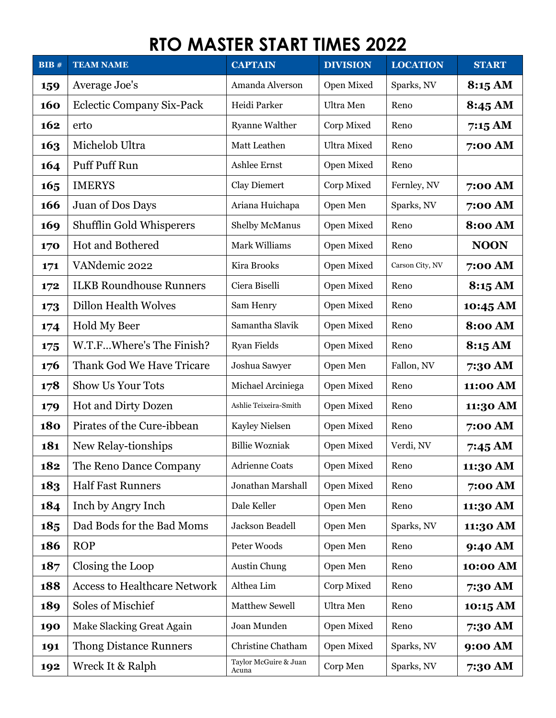| BIB#       | <b>TEAM NAME</b>                    | <b>CAPTAIN</b>                 | <b>DIVISION</b>    | <b>LOCATION</b> | <b>START</b>   |
|------------|-------------------------------------|--------------------------------|--------------------|-----------------|----------------|
| 159        | Average Joe's                       | Amanda Alverson                | Open Mixed         | Sparks, NV      | 8:15AM         |
| 160        | Eclectic Company Six-Pack           | Heidi Parker                   | Ultra Men          | Reno            | 8:45 AM        |
| 162        | erto                                | <b>Ryanne Walther</b>          | Corp Mixed         | Reno            | 7:15 AM        |
| 163        | Michelob Ultra                      | Matt Leathen                   | <b>Ultra Mixed</b> | Reno            | 7:00 AM        |
| 164        | Puff Puff Run                       | Ashlee Ernst                   | Open Mixed         | Reno            |                |
| 165        | <b>IMERYS</b>                       | Clay Diemert                   | Corp Mixed         | Fernley, NV     | 7:00 AM        |
| 166        | Juan of Dos Days                    | Ariana Huichapa                | Open Men           | Sparks, NV      | 7:00 AM        |
| 169        | Shufflin Gold Whisperers            | Shelby McManus                 | Open Mixed         | Reno            | <b>8:00 AM</b> |
| 170        | <b>Hot and Bothered</b>             | Mark Williams                  | Open Mixed         | Reno            | <b>NOON</b>    |
| 171        | VANdemic 2022                       | Kira Brooks                    | Open Mixed         | Carson City, NV | 7:00 AM        |
| 172        | <b>ILKB Roundhouse Runners</b>      | Ciera Biselli                  | Open Mixed         | Reno            | 8:15 AM        |
| 173        | <b>Dillon Health Wolves</b>         | Sam Henry                      | Open Mixed         | Reno            | 10:45 AM       |
| 174        | <b>Hold My Beer</b>                 | Samantha Slavik                | Open Mixed         | Reno            | <b>8:00 AM</b> |
| 175        | W.T.FWhere's The Finish?            | <b>Ryan Fields</b>             | Open Mixed         | Reno            | 8:15 AM        |
| 176        | Thank God We Have Tricare           | Joshua Sawyer                  | Open Men           | Fallon, NV      | 7:30 AM        |
| 178        | <b>Show Us Your Tots</b>            | Michael Arciniega              | Open Mixed         | Reno            | 11:00 AM       |
| 179        | <b>Hot and Dirty Dozen</b>          | Ashlie Teixeira-Smith          | Open Mixed         | Reno            | 11:30 AM       |
| <b>180</b> | Pirates of the Cure-ibbean          | Kayley Nielsen                 | Open Mixed         | Reno            | 7:00 AM        |
| 181        | New Relay-tionships                 | <b>Billie Wozniak</b>          | Open Mixed         | Verdi, NV       | 7:45 AM        |
| 182        | The Reno Dance Company              | <b>Adrienne Coats</b>          | Open Mixed         | Reno            | 11:30 AM       |
| 183        | <b>Half Fast Runners</b>            | Jonathan Marshall              | Open Mixed         | Reno            | 7:00 AM        |
| 184        | Inch by Angry Inch                  | Dale Keller                    | Open Men           | Reno            | 11:30 AM       |
| 185        | Dad Bods for the Bad Moms           | Jackson Beadell                | Open Men           | Sparks, NV      | 11:30 AM       |
| 186        | <b>ROP</b>                          | Peter Woods                    | Open Men           | Reno            | 9:40 AM        |
| 187        | Closing the Loop                    | Austin Chung                   | Open Men           | Reno            | 10:00 AM       |
| 188        | <b>Access to Healthcare Network</b> | Althea Lim                     | Corp Mixed         | Reno            | 7:30 AM        |
| 189        | Soles of Mischief                   | Matthew Sewell                 | Ultra Men          | Reno            | 10:15 AM       |
| 190        | Make Slacking Great Again           | Joan Munden                    | Open Mixed         | Reno            | 7:30 AM        |
| 191        | <b>Thong Distance Runners</b>       | Christine Chatham              | Open Mixed         | Sparks, NV      | 9:00 AM        |
| 192        | Wreck It & Ralph                    | Taylor McGuire & Juan<br>Acuna | Corp Men           | Sparks, NV      | 7:30 AM        |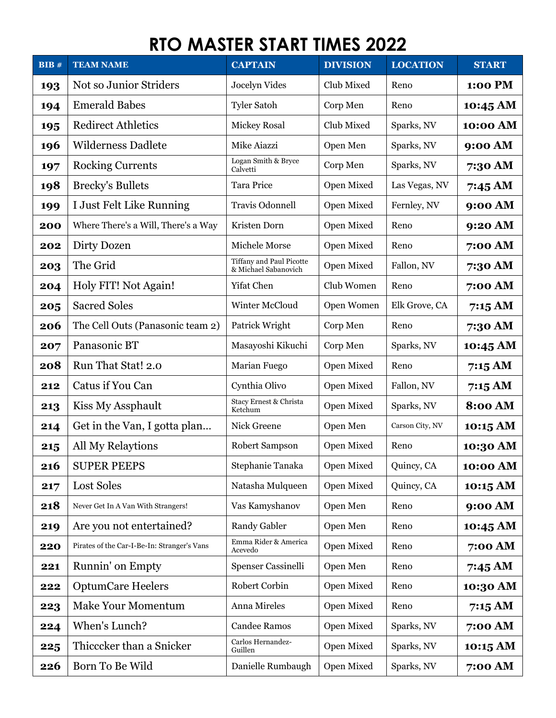| BIB# | <b>TEAM NAME</b>                            | <b>CAPTAIN</b>                                   | <b>DIVISION</b> | <b>LOCATION</b> | <b>START</b>   |
|------|---------------------------------------------|--------------------------------------------------|-----------------|-----------------|----------------|
| 193  | Not so Junior Striders                      | Jocelyn Vides                                    | Club Mixed      | Reno            | 1:00 PM        |
| 194  | <b>Emerald Babes</b>                        | <b>Tyler Satoh</b>                               | Corp Men        | Reno            | 10:45 AM       |
| 195  | <b>Redirect Athletics</b>                   | <b>Mickey Rosal</b>                              | Club Mixed      | Sparks, NV      | 10:00 AM       |
| 196  | <b>Wilderness Dadlete</b>                   | Mike Aiazzi                                      | Open Men        | Sparks, NV      | 9:00 AM        |
| 197  | <b>Rocking Currents</b>                     | Logan Smith & Bryce<br>Calvetti                  | Corp Men        | Sparks, NV      | 7:30 AM        |
| 198  | <b>Brecky's Bullets</b>                     | Tara Price                                       | Open Mixed      | Las Vegas, NV   | 7:45 AM        |
| 199  | I Just Felt Like Running                    | Travis Odonnell                                  | Open Mixed      | Fernley, NV     | 9:00 AM        |
| 200  | Where There's a Will, There's a Way         | Kristen Dorn                                     | Open Mixed      | Reno            | 9:20 AM        |
| 202  | Dirty Dozen                                 | Michele Morse                                    | Open Mixed      | Reno            | 7:00 AM        |
| 203  | The Grid                                    | Tiffany and Paul Picotte<br>& Michael Sabanovich | Open Mixed      | Fallon, NV      | 7:30 AM        |
| 204  | Holy FIT! Not Again!                        | Yifat Chen                                       | Club Women      | Reno            | 7:00 AM        |
| 205  | <b>Sacred Soles</b>                         | Winter McCloud                                   | Open Women      | Elk Grove, CA   | 7:15AM         |
| 206  | The Cell Outs (Panasonic team 2)            | Patrick Wright                                   | Corp Men        | Reno            | 7:30 AM        |
| 207  | Panasonic BT                                | Masayoshi Kikuchi                                | Corp Men        | Sparks, NV      | 10:45 AM       |
| 208  | Run That Stat! 2.0                          | Marian Fuego                                     | Open Mixed      | Reno            | 7:15AM         |
| 212  | Catus if You Can                            | Cynthia Olivo                                    | Open Mixed      | Fallon, NV      | 7:15AM         |
| 213  | Kiss My Assphault                           | Stacy Ernest & Christa<br>Ketchum                | Open Mixed      | Sparks, NV      | <b>8:00 AM</b> |
| 214  | Get in the Van, I gotta plan                | Nick Greene                                      | Open Men        | Carson City, NV | 10:15 AM       |
| 215  | All My Relaytions                           | Robert Sampson                                   | Open Mixed      | Reno            | 10:30 AM       |
| 216  | <b>SUPER PEEPS</b>                          | Stephanie Tanaka                                 | Open Mixed      | Quincy, CA      | 10:00 AM       |
| 217  | Lost Soles                                  | Natasha Mulqueen                                 | Open Mixed      | Quincy, CA      | 10:15 AM       |
| 218  | Never Get In A Van With Strangers!          | Vas Kamyshanov                                   | Open Men        | Reno            | 9:00 AM        |
| 219  | Are you not entertained?                    | <b>Randy Gabler</b>                              | Open Men        | Reno            | 10:45 AM       |
| 220  | Pirates of the Car-I-Be-In: Stranger's Vans | Emma Rider & America<br>Acevedo                  | Open Mixed      | Reno            | 7:00 AM        |
| 221  | Runnin' on Empty                            | <b>Spenser Cassinelli</b>                        | Open Men        | Reno            | 7:45 AM        |
| 222  | <b>OptumCare Heelers</b>                    | Robert Corbin                                    | Open Mixed      | Reno            | 10:30 AM       |
| 223  | <b>Make Your Momentum</b>                   | Anna Mireles                                     | Open Mixed      | Reno            | 7:15 AM        |
| 224  | When's Lunch?                               | <b>Candee Ramos</b>                              | Open Mixed      | Sparks, NV      | 7:00 AM        |
| 225  | Thicccker than a Snicker                    | Carlos Hernandez-<br>Guillen                     | Open Mixed      | Sparks, NV      | 10:15 AM       |
| 226  | Born To Be Wild                             | Danielle Rumbaugh                                | Open Mixed      | Sparks, NV      | 7:00 AM        |